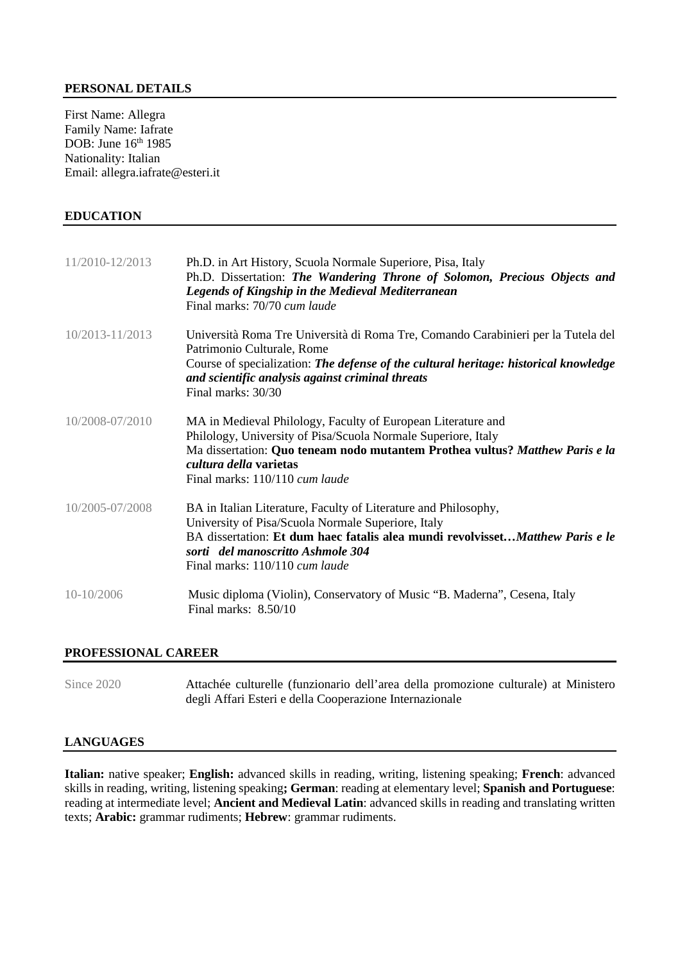### **PERSONAL DETAILS**

First Name: Allegra Family Name: Iafrate DOB: June 16<sup>th</sup> 1985 Nationality: Italian Email: allegra.iafrate@esteri.it

#### **EDUCATION**

| 11/2010-12/2013 | Ph.D. in Art History, Scuola Normale Superiore, Pisa, Italy<br>Ph.D. Dissertation: The Wandering Throne of Solomon, Precious Objects and<br><b>Legends of Kingship in the Medieval Mediterranean</b><br>Final marks: 70/70 cum laude                                              |
|-----------------|-----------------------------------------------------------------------------------------------------------------------------------------------------------------------------------------------------------------------------------------------------------------------------------|
| 10/2013-11/2013 | Università Roma Tre Università di Roma Tre, Comando Carabinieri per la Tutela del<br>Patrimonio Culturale, Rome<br>Course of specialization: The defense of the cultural heritage: historical knowledge<br>and scientific analysis against criminal threats<br>Final marks: 30/30 |
| 10/2008-07/2010 | MA in Medieval Philology, Faculty of European Literature and<br>Philology, University of Pisa/Scuola Normale Superiore, Italy<br>Ma dissertation: Quo teneam nodo mutantem Prothea vultus? Matthew Paris e la<br>cultura della varietas<br>Final marks: 110/110 cum laude         |
| 10/2005-07/2008 | BA in Italian Literature, Faculty of Literature and Philosophy,<br>University of Pisa/Scuola Normale Superiore, Italy<br>BA dissertation: Et dum haec fatalis alea mundi revolvisset Matthew Paris e le<br>sorti del manoscritto Ashmole 304<br>Final marks: 110/110 cum laude    |
| 10-10/2006      | Music diploma (Violin), Conservatory of Music "B. Maderna", Cesena, Italy<br>Final marks: 8.50/10                                                                                                                                                                                 |

#### **PROFESSIONAL CAREER**

Since 2020 Attachée culturelle (funzionario dell'area della promozione culturale) at Ministero degli Affari Esteri e della Cooperazione Internazionale

#### **LANGUAGES**

**Italian:** native speaker; **English:** advanced skills in reading, writing, listening speaking; **French**: advanced skills in reading, writing, listening speaking**; German**: reading at elementary level; **Spanish and Portuguese**: reading at intermediate level; **Ancient and Medieval Latin**: advanced skills in reading and translating written texts; **Arabic:** grammar rudiments; **Hebrew**: grammar rudiments.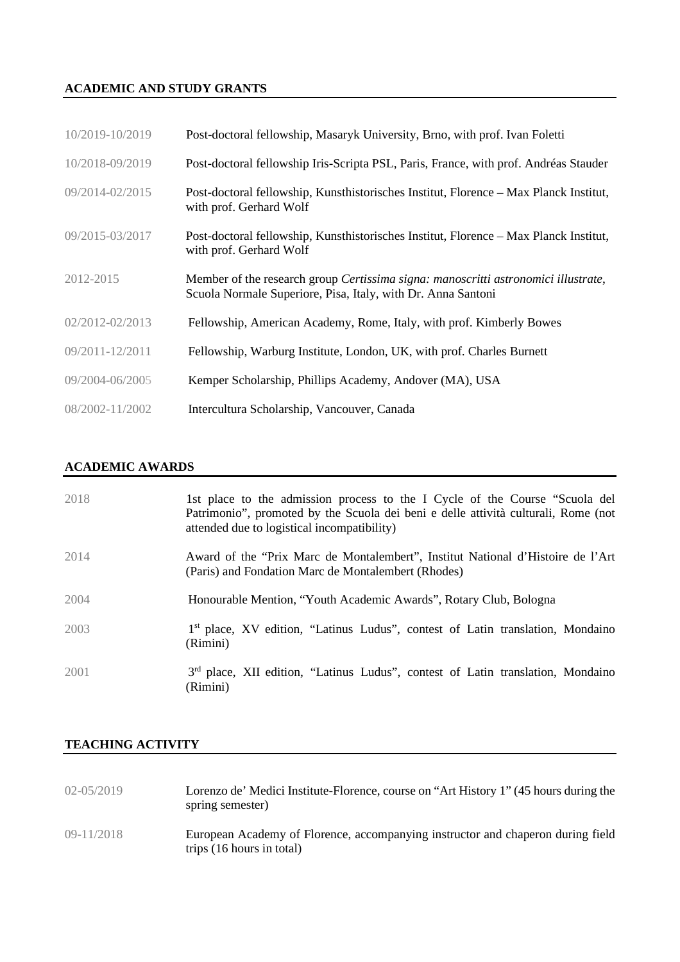# **ACADEMIC AND STUDY GRANTS**

| 10/2019-10/2019 | Post-doctoral fellowship, Masaryk University, Brno, with prof. Ivan Foletti                                                                        |
|-----------------|----------------------------------------------------------------------------------------------------------------------------------------------------|
| 10/2018-09/2019 | Post-doctoral fellowship Iris-Scripta PSL, Paris, France, with prof. Andréas Stauder                                                               |
| 09/2014-02/2015 | Post-doctoral fellowship, Kunsthistorisches Institut, Florence – Max Planck Institut,<br>with prof. Gerhard Wolf                                   |
| 09/2015-03/2017 | Post-doctoral fellowship, Kunsthistorisches Institut, Florence - Max Planck Institut,<br>with prof. Gerhard Wolf                                   |
| 2012-2015       | Member of the research group Certissima signa: manoscritti astronomici illustrate,<br>Scuola Normale Superiore, Pisa, Italy, with Dr. Anna Santoni |
| 02/2012-02/2013 | Fellowship, American Academy, Rome, Italy, with prof. Kimberly Bowes                                                                               |
| 09/2011-12/2011 | Fellowship, Warburg Institute, London, UK, with prof. Charles Burnett                                                                              |
| 09/2004-06/2005 | Kemper Scholarship, Phillips Academy, Andover (MA), USA                                                                                            |
| 08/2002-11/2002 | Intercultura Scholarship, Vancouver, Canada                                                                                                        |

# **ACADEMIC AWARDS**

| 2018 | 1st place to the admission process to the I Cycle of the Course "Scuola del<br>Patrimonio", promoted by the Scuola dei beni e delle attività culturali, Rome (not<br>attended due to logistical incompatibility) |
|------|------------------------------------------------------------------------------------------------------------------------------------------------------------------------------------------------------------------|
| 2014 | Award of the "Prix Marc de Montalembert", Institut National d'Histoire de l'Art<br>(Paris) and Fondation Marc de Montalembert (Rhodes)                                                                           |
| 2004 | Honourable Mention, "Youth Academic Awards", Rotary Club, Bologna                                                                                                                                                |
| 2003 | 1 <sup>st</sup> place, XV edition, "Latinus Ludus", contest of Latin translation, Mondaino<br>(Rimini)                                                                                                           |
| 2001 | 3 <sup>rd</sup> place, XII edition, "Latinus Ludus", contest of Latin translation, Mondaino<br>(Rimini)                                                                                                          |

# **TEACHING ACTIVITY**

| $02 - 05/2019$ | Lorenzo de' Medici Institute-Florence, course on "Art History 1" (45 hours during the<br>spring semester)    |
|----------------|--------------------------------------------------------------------------------------------------------------|
| $09 - 11/2018$ | European Academy of Florence, accompanying instructor and chaperon during field<br>trips (16 hours in total) |